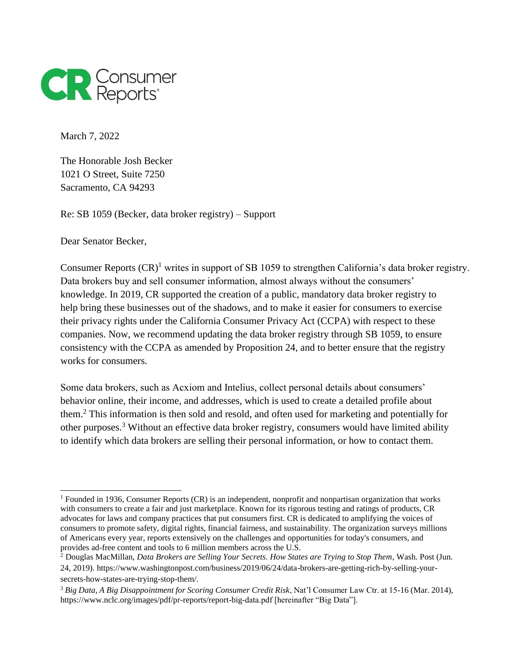

March 7, 2022

The Honorable Josh Becker 1021 O Street, Suite 7250 Sacramento, CA 94293

Re: SB 1059 (Becker, data broker registry) – Support

Dear Senator Becker,

 $\overline{a}$ 

Consumer Reports  $(CR)^1$  writes in support of SB 1059 to strengthen California's data broker registry. Data brokers buy and sell consumer information, almost always without the consumers' knowledge. In 2019, CR supported the creation of a public, mandatory data broker registry to help bring these businesses out of the shadows, and to make it easier for consumers to exercise their privacy rights under the California Consumer Privacy Act (CCPA) with respect to these companies. Now, we recommend updating the data broker registry through SB 1059, to ensure consistency with the CCPA as amended by Proposition 24, and to better ensure that the registry works for consumers.

Some data brokers, such as Acxiom and Intelius, collect personal details about consumers' behavior online, their income, and addresses, which is used to create a detailed profile about them.<sup>2</sup> This information is then sold and resold, and often used for marketing and potentially for other purposes.<sup>3</sup> Without an effective data broker registry, consumers would have limited ability to identify which data brokers are selling their personal information, or how to contact them.

<sup>1</sup> Founded in 1936, Consumer Reports (CR) is an independent, nonprofit and nonpartisan organization that works with consumers to create a fair and just marketplace. Known for its rigorous testing and ratings of products, CR advocates for laws and company practices that put consumers first. CR is dedicated to amplifying the voices of consumers to promote safety, digital rights, financial fairness, and sustainability. The organization surveys millions of Americans every year, reports extensively on the challenges and opportunities for today's consumers, and provides ad-free content and tools to 6 million members across the U.S.

<sup>2</sup> Douglas MacMillan, *Data Brokers are Selling Your Secrets. How States are Trying to Stop Them*, Wash. Post (Jun. 24, 2019). https://www.washingtonpost.com/business/2019/06/24/data-brokers-are-getting-rich-by-selling-yoursecrets-how-states-are-trying-stop-them/.

<sup>3</sup> *Big Data, A Big Disappointment for Scoring Consumer Credit Risk*, Nat'l Consumer Law Ctr. at 15-16 (Mar. 2014), https://www.nclc.org/images/pdf/pr-reports/report-big-data.pdf [hereinafter "Big Data"].